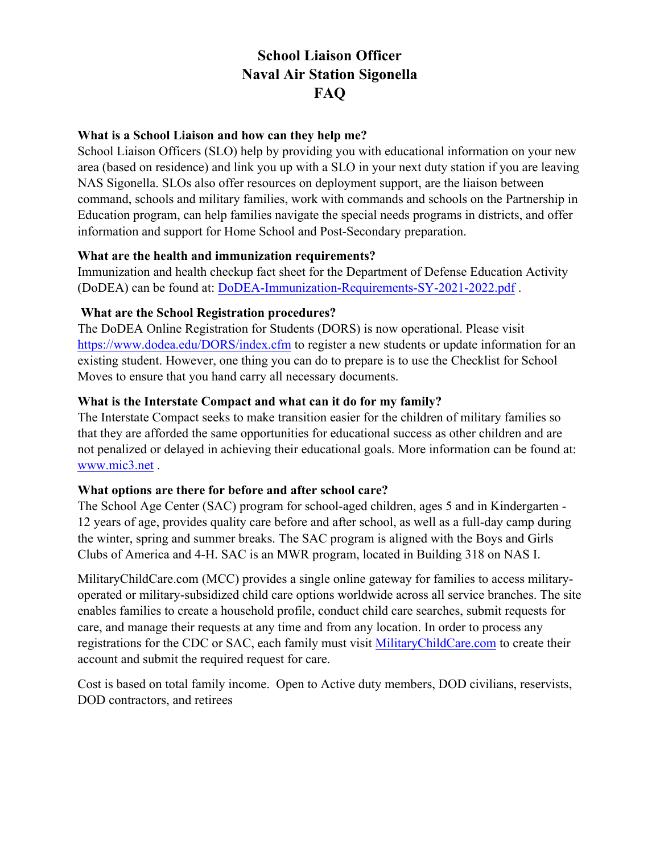# **School Liaison Officer Naval Air Station Sigonella FAQ**

## **What is a School Liaison and how can they help me?**

School Liaison Officers (SLO) help by providing you with educational information on your new area (based on residence) and link you up with a SLO in your next duty station if you are leaving NAS Sigonella. SLOs also offer resources on deployment support, are the liaison between command, schools and military families, work with commands and schools on the Partnership in Education program, can help families navigate the special needs programs in districts, and offer information and support for Home School and Post-Secondary preparation.

#### **What are the health and immunization requirements?**

Immunization and health checkup fact sheet for the Department of Defense Education Activity (DoDEA) can be found at: DoDEA-Immunization-Requirements-SY-2021-2022.pdf .

#### **What are the School Registration procedures?**

The DoDEA Online Registration for Students (DORS) is now operational. Please visit https://www.dodea.edu/DORS/index.cfm to register a new students or update information for an existing student. However, one thing you can do to prepare is to use the Checklist for School Moves to ensure that you hand carry all necessary documents.

## **What is the Interstate Compact and what can it do for my family?**

The Interstate Compact seeks to make transition easier for the children of military families so that they are afforded the same opportunities for educational success as other children and are not penalized or delayed in achieving their educational goals. More information can be found at: www.mic3.net .

## **What options are there for before and after school care?**

The School Age Center (SAC) program for school-aged children, ages 5 and in Kindergarten - 12 years of age, provides quality care before and after school, as well as a full-day camp during the winter, spring and summer breaks. The SAC program is aligned with the Boys and Girls Clubs of America and 4-H. SAC is an MWR program, located in Building 318 on NAS I.

MilitaryChildCare.com (MCC) provides a single online gateway for families to access militaryoperated or military-subsidized child care options worldwide across all service branches. The site enables families to create a household profile, conduct child care searches, submit requests for care, and manage their requests at any time and from any location. In order to process any registrations for the CDC or SAC, each family must visit MilitaryChildCare.com to create their account and submit the required request for care.

Cost is based on total family income. Open to Active duty members, DOD civilians, reservists, DOD contractors, and retirees